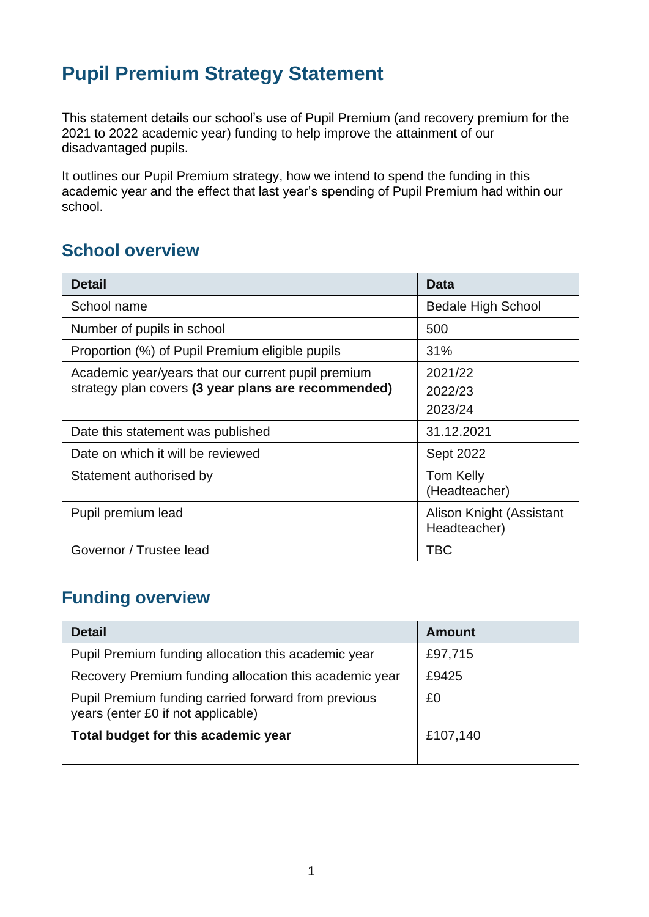# **Pupil Premium Strategy Statement**

This statement details our school's use of Pupil Premium (and recovery premium for the 2021 to 2022 academic year) funding to help improve the attainment of our disadvantaged pupils.

It outlines our Pupil Premium strategy, how we intend to spend the funding in this academic year and the effect that last year's spending of Pupil Premium had within our school.

### **School overview**

| <b>Detail</b>                                       | Data                                     |
|-----------------------------------------------------|------------------------------------------|
| School name                                         | <b>Bedale High School</b>                |
| Number of pupils in school                          | 500                                      |
| Proportion (%) of Pupil Premium eligible pupils     | 31%                                      |
| Academic year/years that our current pupil premium  | 2021/22                                  |
| strategy plan covers (3 year plans are recommended) | 2022/23                                  |
|                                                     | 2023/24                                  |
| Date this statement was published                   | 31.12.2021                               |
| Date on which it will be reviewed                   | <b>Sept 2022</b>                         |
| Statement authorised by                             | <b>Tom Kelly</b><br>(Headteacher)        |
| Pupil premium lead                                  | Alison Knight (Assistant<br>Headteacher) |
| Governor / Trustee lead                             | <b>TBC</b>                               |

## **Funding overview**

| <b>Detail</b>                                                                             | <b>Amount</b> |
|-------------------------------------------------------------------------------------------|---------------|
| Pupil Premium funding allocation this academic year                                       | £97,715       |
| Recovery Premium funding allocation this academic year                                    | £9425         |
| Pupil Premium funding carried forward from previous<br>years (enter £0 if not applicable) | £0            |
| Total budget for this academic year                                                       | £107,140      |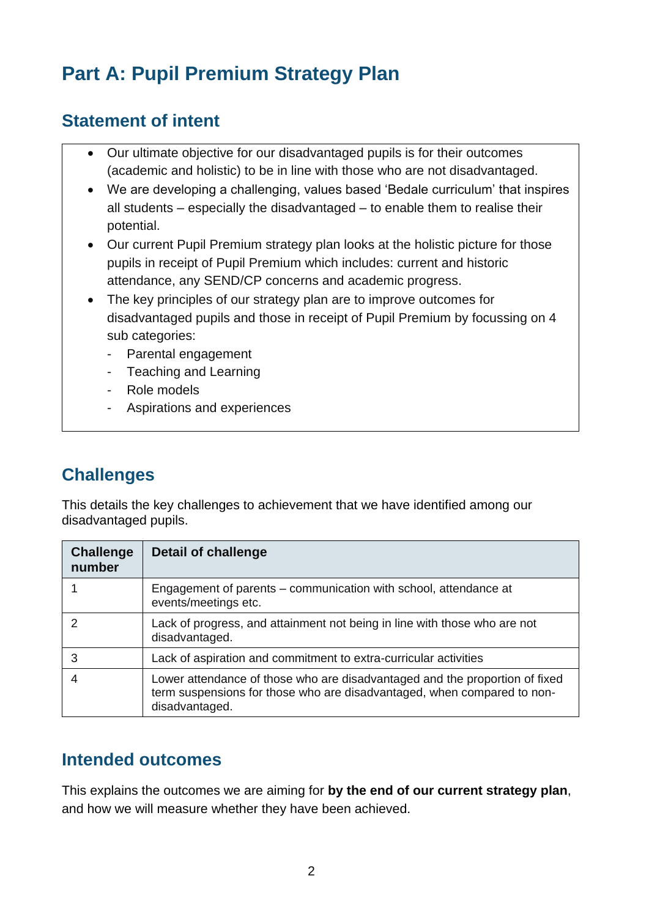# **Part A: Pupil Premium Strategy Plan**

### **Statement of intent**

- Our ultimate objective for our disadvantaged pupils is for their outcomes (academic and holistic) to be in line with those who are not disadvantaged.
- We are developing a challenging, values based 'Bedale curriculum' that inspires all students – especially the disadvantaged – to enable them to realise their potential.
- Our current Pupil Premium strategy plan looks at the holistic picture for those pupils in receipt of Pupil Premium which includes: current and historic attendance, any SEND/CP concerns and academic progress.
- The key principles of our strategy plan are to improve outcomes for disadvantaged pupils and those in receipt of Pupil Premium by focussing on 4 sub categories:
	- Parental engagement
	- Teaching and Learning
	- Role models
	- Aspirations and experiences

### **Challenges**

This details the key challenges to achievement that we have identified among our disadvantaged pupils.

| <b>Challenge</b><br>number | <b>Detail of challenge</b>                                                                                                                                               |
|----------------------------|--------------------------------------------------------------------------------------------------------------------------------------------------------------------------|
|                            | Engagement of parents - communication with school, attendance at<br>events/meetings etc.                                                                                 |
|                            | Lack of progress, and attainment not being in line with those who are not<br>disadvantaged.                                                                              |
| 3                          | Lack of aspiration and commitment to extra-curricular activities                                                                                                         |
| 4                          | Lower attendance of those who are disadvantaged and the proportion of fixed<br>term suspensions for those who are disadvantaged, when compared to non-<br>disadvantaged. |

### **Intended outcomes**

This explains the outcomes we are aiming for **by the end of our current strategy plan**, and how we will measure whether they have been achieved.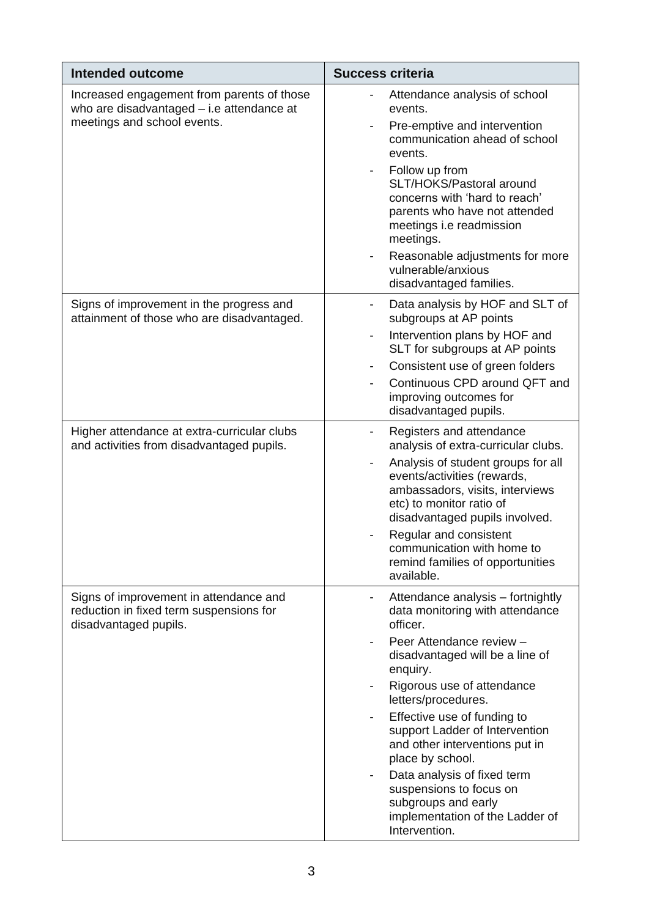| <b>Intended outcome</b>                                                                                                | <b>Success criteria</b>                                                                                                                                                                                                                                                                                                                         |
|------------------------------------------------------------------------------------------------------------------------|-------------------------------------------------------------------------------------------------------------------------------------------------------------------------------------------------------------------------------------------------------------------------------------------------------------------------------------------------|
| Increased engagement from parents of those<br>who are disadvantaged - i.e attendance at<br>meetings and school events. | Attendance analysis of school<br>events.<br>Pre-emptive and intervention<br>communication ahead of school<br>events.                                                                                                                                                                                                                            |
|                                                                                                                        | Follow up from<br>SLT/HOKS/Pastoral around<br>concerns with 'hard to reach'<br>parents who have not attended<br>meetings i.e readmission<br>meetings.<br>Reasonable adjustments for more<br>vulnerable/anxious<br>disadvantaged families.                                                                                                       |
| Signs of improvement in the progress and<br>attainment of those who are disadvantaged.                                 | Data analysis by HOF and SLT of<br>$\qquad \qquad \blacksquare$<br>subgroups at AP points<br>Intervention plans by HOF and<br>$\qquad \qquad \blacksquare$                                                                                                                                                                                      |
|                                                                                                                        | SLT for subgroups at AP points<br>Consistent use of green folders<br>Continuous CPD around QFT and                                                                                                                                                                                                                                              |
|                                                                                                                        | improving outcomes for<br>disadvantaged pupils.                                                                                                                                                                                                                                                                                                 |
| Higher attendance at extra-curricular clubs<br>and activities from disadvantaged pupils.                               | Registers and attendance<br>analysis of extra-curricular clubs.<br>Analysis of student groups for all<br>events/activities (rewards,<br>ambassadors, visits, interviews<br>etc) to monitor ratio of<br>disadvantaged pupils involved.<br>Regular and consistent<br>communication with home to<br>remind families of opportunities<br>available. |
| Signs of improvement in attendance and<br>reduction in fixed term suspensions for<br>disadvantaged pupils.             | Attendance analysis - fortnightly<br>$\qquad \qquad \blacksquare$<br>data monitoring with attendance<br>officer.<br>Peer Attendance review -                                                                                                                                                                                                    |
|                                                                                                                        | disadvantaged will be a line of<br>enquiry.<br>Rigorous use of attendance<br>letters/procedures.                                                                                                                                                                                                                                                |
|                                                                                                                        | Effective use of funding to<br>support Ladder of Intervention<br>and other interventions put in<br>place by school.                                                                                                                                                                                                                             |
|                                                                                                                        | Data analysis of fixed term<br>suspensions to focus on<br>subgroups and early<br>implementation of the Ladder of<br>Intervention.                                                                                                                                                                                                               |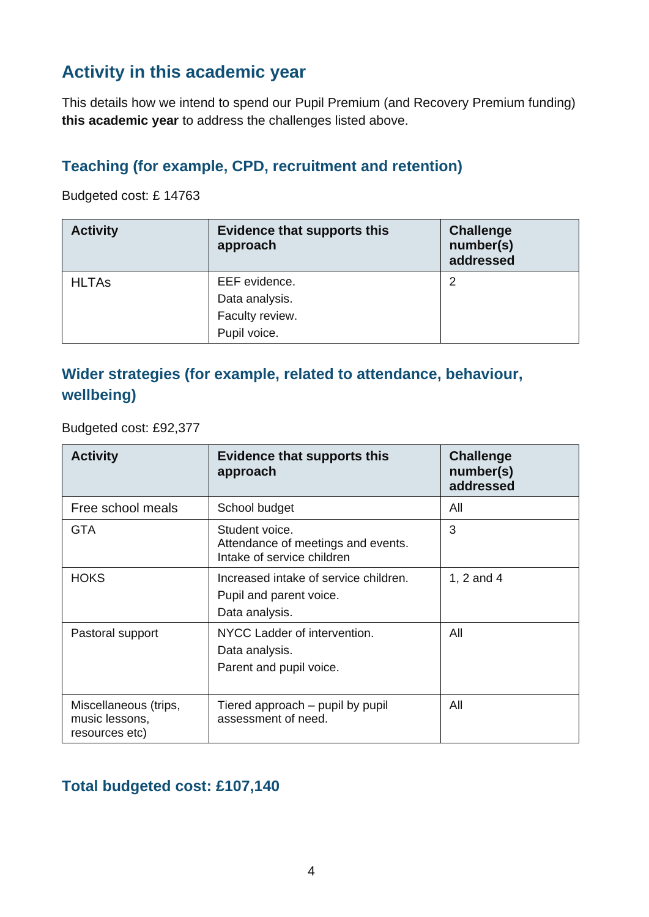## **Activity in this academic year**

This details how we intend to spend our Pupil Premium (and Recovery Premium funding) **this academic year** to address the challenges listed above.

### **Teaching (for example, CPD, recruitment and retention)**

Budgeted cost: £ 14763

| <b>Activity</b> | <b>Evidence that supports this</b><br>approach | <b>Challenge</b><br>number(s)<br>addressed |
|-----------------|------------------------------------------------|--------------------------------------------|
| <b>HLTAs</b>    | EEF evidence.                                  | 2                                          |
|                 | Data analysis.                                 |                                            |
|                 | Faculty review.                                |                                            |
|                 | Pupil voice.                                   |                                            |

#### **Wider strategies (for example, related to attendance, behaviour, wellbeing)**

Budgeted cost: £92,377

| <b>Activity</b>                                           | <b>Evidence that supports this</b><br>approach                                     | <b>Challenge</b><br>number(s)<br>addressed |
|-----------------------------------------------------------|------------------------------------------------------------------------------------|--------------------------------------------|
| Free school meals                                         | School budget                                                                      | All                                        |
| <b>GTA</b>                                                | Student voice.<br>Attendance of meetings and events.<br>Intake of service children | 3                                          |
| <b>HOKS</b>                                               | Increased intake of service children.<br>Pupil and parent voice.<br>Data analysis. | 1, $2$ and $4$                             |
| Pastoral support                                          | NYCC Ladder of intervention.<br>Data analysis.<br>Parent and pupil voice.          | All                                        |
| Miscellaneous (trips,<br>music lessons,<br>resources etc) | Tiered approach – pupil by pupil<br>assessment of need.                            | All                                        |

#### **Total budgeted cost: £107,140**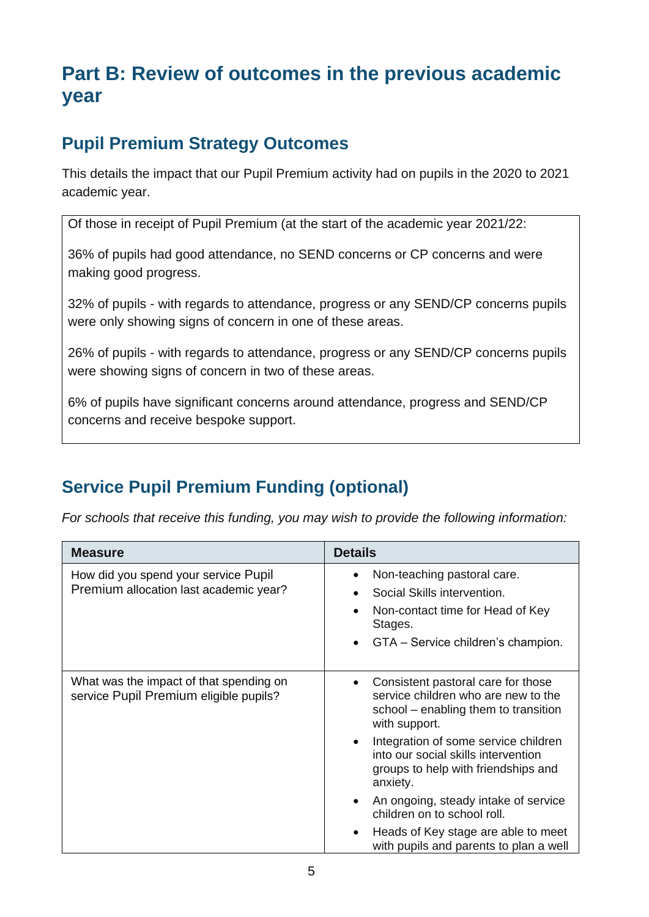# **Part B: Review of outcomes in the previous academic year**

# **Pupil Premium Strategy Outcomes**

This details the impact that our Pupil Premium activity had on pupils in the 2020 to 2021 academic year.

Of those in receipt of Pupil Premium (at the start of the academic year 2021/22:

36% of pupils had good attendance, no SEND concerns or CP concerns and were making good progress.

32% of pupils - with regards to attendance, progress or any SEND/CP concerns pupils were only showing signs of concern in one of these areas.

26% of pupils - with regards to attendance, progress or any SEND/CP concerns pupils were showing signs of concern in two of these areas.

6% of pupils have significant concerns around attendance, progress and SEND/CP concerns and receive bespoke support.

# **Service Pupil Premium Funding (optional)**

*For schools that receive this funding, you may wish to provide the following information:* 

| <b>Measure</b>                                                                    | <b>Details</b>                                                                                                                                                            |
|-----------------------------------------------------------------------------------|---------------------------------------------------------------------------------------------------------------------------------------------------------------------------|
| How did you spend your service Pupil<br>Premium allocation last academic year?    | Non-teaching pastoral care.<br>Social Skills intervention.<br>Non-contact time for Head of Key<br>$\bullet$<br>Stages.<br>GTA - Service children's champion.<br>$\bullet$ |
| What was the impact of that spending on<br>service Pupil Premium eligible pupils? | Consistent pastoral care for those<br>service children who are new to the<br>school – enabling them to transition<br>with support.                                        |
|                                                                                   | Integration of some service children<br>$\bullet$<br>into our social skills intervention<br>groups to help with friendships and<br>anxiety.                               |
|                                                                                   | An ongoing, steady intake of service<br>$\bullet$<br>children on to school roll.                                                                                          |
|                                                                                   | Heads of Key stage are able to meet<br>$\bullet$<br>with pupils and parents to plan a well                                                                                |